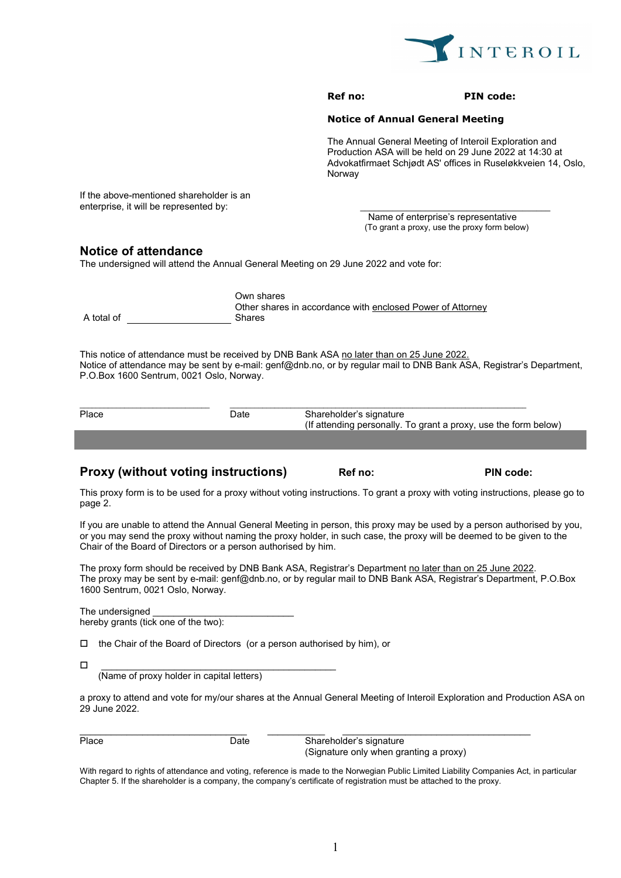

#### **PIN code:**

### **Notice of Annual General Meeting**

The Annual General Meeting of Interoil Exploration and Production ASA will be held on 29 June 2022 at 14:30 at Advokatfirmaet Schjødt AS' offices in Ruseløkkveien 14, Oslo, Norway

If the above-mentioned shareholder is an enterprise, it will be represented by:

> Name of enterprise's representative (To grant a proxy, use the proxy form below)

# **Notice of attendance**

The undersigned will attend the Annual General Meeting on 29 June 2022 and vote for:

|            | Own shares                                                 |
|------------|------------------------------------------------------------|
|            | Other shares in accordance with enclosed Power of Attorney |
| A total of | Shares                                                     |

This notice of attendance must be received by DNB Bank ASA no later than on 25 June 2022. Notice of attendance may be sent by e-mail: genf@dnb.no, or by regular mail to DNB Bank ASA, Registrar's Department, P.O.Box 1600 Sentrum, 0021 Oslo, Norway.

| Place | Date: | Shareholder's signature                                         |  |  |
|-------|-------|-----------------------------------------------------------------|--|--|
|       |       | (If attending personally. To grant a proxy, use the form below) |  |  |
|       |       |                                                                 |  |  |

## **Proxy (without voting instructions) Ref no:** PIN code:

This proxy form is to be used for a proxy without voting instructions. To grant a proxy with voting instructions, please go to page 2.

If you are unable to attend the Annual General Meeting in person, this proxy may be used by a person authorised by you, or you may send the proxy without naming the proxy holder, in such case, the proxy will be deemed to be given to the Chair of the Board of Directors or a person authorised by him.

The proxy form should be received by DNB Bank ASA, Registrar's Department no later than on 25 June 2022. The proxy may be sent by e-mail: genf@dnb.no, or by regular mail to DNB Bank ASA, Registrar's Department, P.O.Box 1600 Sentrum, 0021 Oslo, Norway.

The undersigned hereby grants (tick one of the two):

□ the Chair of the Board of Directors (or a person authorised by him), or

 $\Box$  . The contract of the contract of the contract of the contract of the contract of the contract of the contract of the contract of the contract of the contract of the contract of the contract of the contract of the co

(Name of proxy holder in capital letters)

a proxy to attend and vote for my/our shares at the Annual General Meeting of Interoil Exploration and Production ASA on 29 June 2022.

| Place |  |  |
|-------|--|--|
|       |  |  |

Place Date Shareholder's signature (Signature only when granting a proxy)

With regard to rights of attendance and voting, reference is made to the Norwegian Public Limited Liability Companies Act, in particular Chapter 5. If the shareholder is a company, the company's certificate of registration must be attached to the proxy.

\_\_\_\_\_\_\_\_\_\_\_\_\_\_\_\_\_\_\_\_\_\_\_\_\_\_\_\_\_\_\_\_ \_\_\_\_\_\_\_\_\_\_\_ \_\_\_\_\_\_\_\_\_\_\_\_\_\_\_\_\_\_\_\_\_\_\_\_\_\_\_\_\_\_\_\_\_\_\_\_